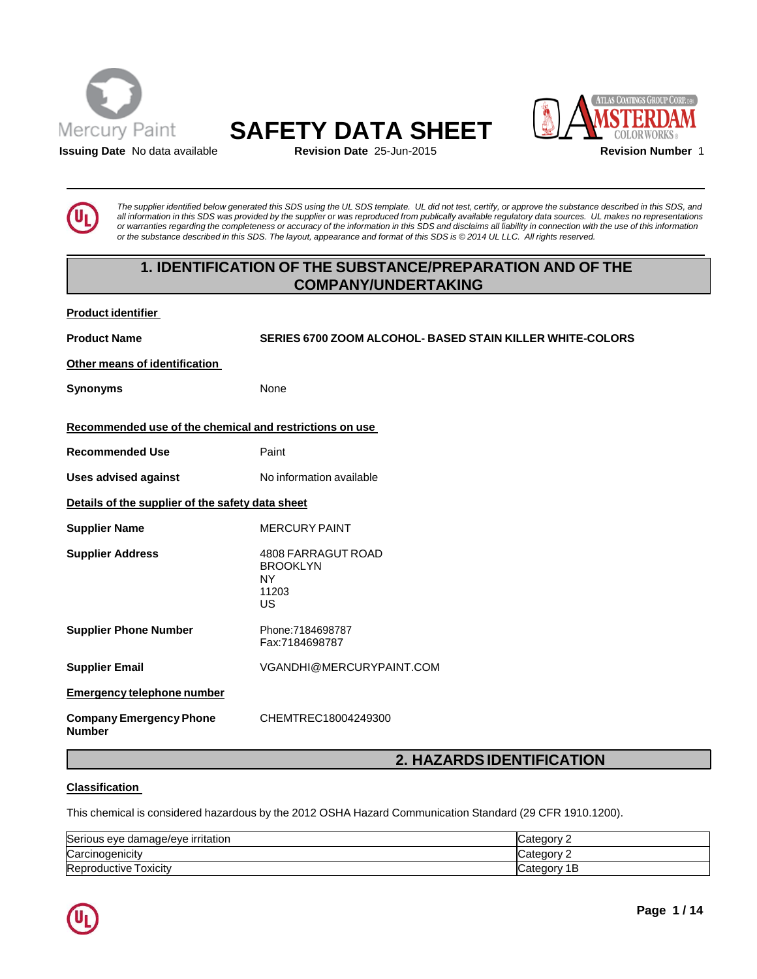





**Issuing Date** No data available **Revision Date** 25-Jun-2015 **Revision Number** 1

The supplier identified below generated this SDS using the UL SDS template. UL did not test, certify, or approve the substance described in this SDS, and all information in this SDS was provided by the supplier or was reproduced from publically available regulatory data sources. UL makes no representations or warranties regarding the completeness or accuracy of the information in this SDS and disclaims all liability in connection with the use of this information or the substance described in this SDS. The layout, appearance and format of this SDS is © 2014 UL LLC. All rights reserved.

# **1. IDENTIFICATION OF THE SUBSTANCE/PREPARATION AND OF THE COMPANY/UNDERTAKING**

## **Product identifier**

**Product Name SERIES 6700 ZOOM ALCOHOL- BASED STAIN KILLER WHITE-COLORS**

**Other means of identification**

**Synonyms** None

**Recommended use of the chemical and restrictions on use**

**Recommended Use** Paint

**Uses advised against** No information available

**Details of the supplier of the safety data sheet**

**Supplier Name** MERCURY PAINT

**Supplier Address** 4808 FARRAGUT ROAD

BROOKLYN NY

11203 US

**Supplier Phone Number** Phone:7184698787 Fax:7184698787

**Supplier Email** [VGANDHI@MERCURYPAINT.COM](mailto:VGANDHI@MERCURYPAINT.COM)

**Emergency telephone number**

**Company Emergency Phone Number**

CHEMTREC18004249300

# **2. HAZARDSIDENTIFICATION**

## **Classification**

This chemical is considered hazardous by the 2012 OSHA Hazard Communication Standard (29 CFR 1910.1200).

| Serious eye damage/eye irritation | Category       |
|-----------------------------------|----------------|
| Carcinogenicity                   | 'ategory:      |
| Reproductive Toxicity             | ∵ategorvٽ<br>P |

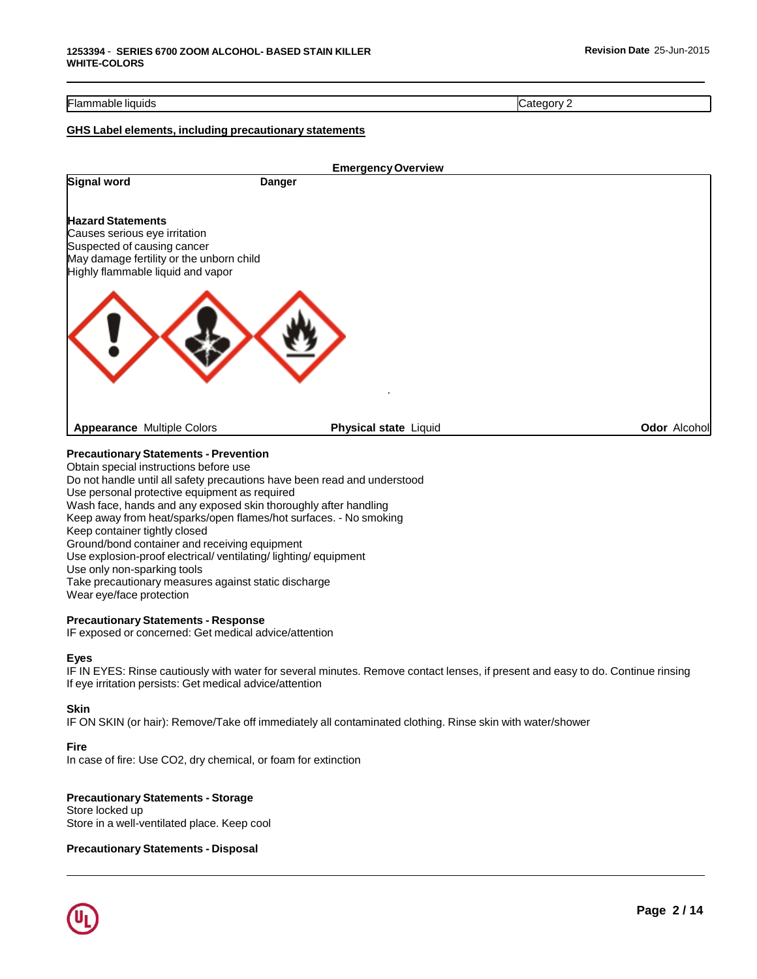#### Flammable liquids Category 2

#### **GHS Label elements, including precautionary statements**

| <b>Emergency Overview</b> |                                                                               |
|---------------------------|-------------------------------------------------------------------------------|
| <b>Danger</b>             |                                                                               |
|                           |                                                                               |
|                           |                                                                               |
|                           |                                                                               |
|                           |                                                                               |
|                           |                                                                               |
|                           |                                                                               |
| Physical state Liquid     | <b>Odor Alcohol</b>                                                           |
|                           | May damage fertility or the unborn child<br>Highly flammable liquid and vapor |

## **Precautionary Statements - Prevention**

Obtain special instructions before use

Do not handle until all safety precautions have been read and understood Use personal protective equipment as required Wash face, hands and any exposed skin thoroughly after handling Keep away from heat/sparks/open flames/hot surfaces. - No smoking Keep container tightly closed

Ground/bond container and receiving equipment

Use explosion-proof electrical/ ventilating/ lighting/ equipment

Use only non-sparking tools

Take precautionary measures against static discharge

Wear eye/face protection

#### **Precautionary Statements - Response**

IF exposed or concerned: Get medical advice/attention

#### **Eyes**

IF IN EYES: Rinse cautiously with water for several minutes. Remove contact lenses, if present and easy to do. Continue rinsing If eye irritation persists: Get medical advice/attention

#### **Skin**

IF ON SKIN (or hair): Remove/Take off immediately all contaminated clothing. Rinse skin with water/shower

#### **Fire**

In case of fire: Use CO2, dry chemical, or foam for extinction

## **Precautionary Statements - Storage**

Store locked up Store in a well-ventilated place. Keep cool

## **Precautionary Statements - Disposal**

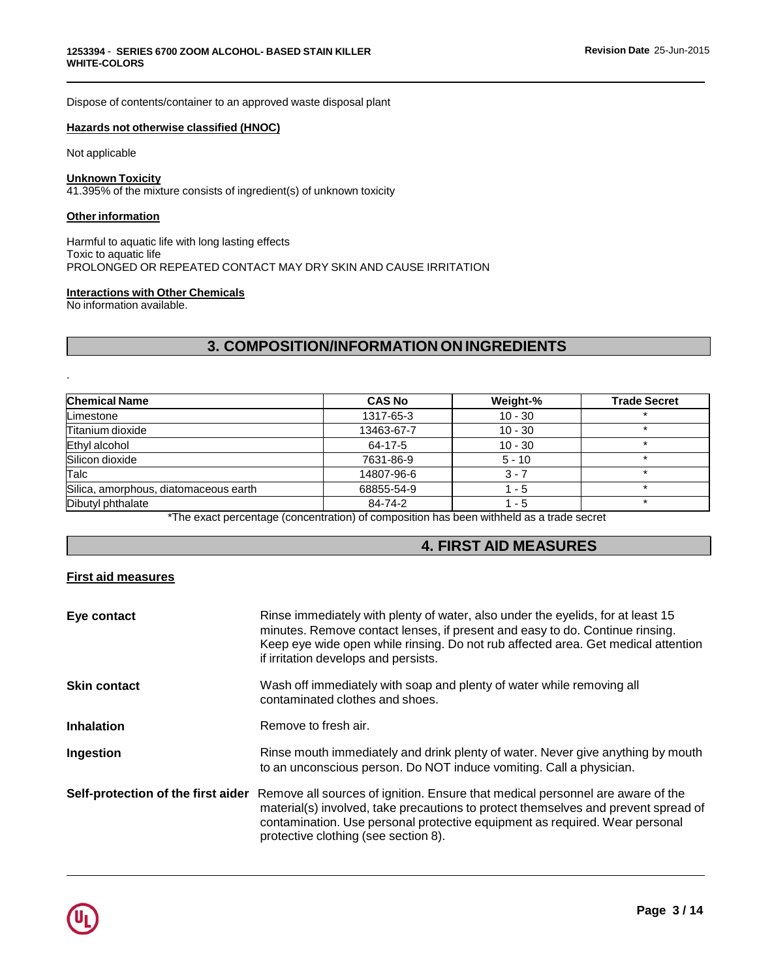Dispose of contents/container to an approved waste disposal plant

### **Hazards not otherwise classified (HNOC)**

Not applicable

#### **Unknown Toxicity** 41.395% of the mixture consists of ingredient(s) of unknown toxicity

## **Other information**

Harmful to aquatic life with long lasting effects Toxic to aquatic life PROLONGED OR REPEATED CONTACT MAY DRY SKIN AND CAUSE IRRITATION

#### **Interactions with Other Chemicals**

No information available.

.

# **3. COMPOSITION/INFORMATION ON INGREDIENTS**

| <b>Chemical Name</b>                  | <b>CAS No</b> | Weight-%  | <b>Trade Secret</b> |
|---------------------------------------|---------------|-----------|---------------------|
| Limestone                             | 1317-65-3     | $10 - 30$ |                     |
| Titanium dioxide                      | 13463-67-7    | $10 - 30$ | ÷                   |
| Ethyl alcohol                         | 64-17-5       | $10 - 30$ |                     |
| Silicon dioxide                       | 7631-86-9     | $5 - 10$  |                     |
| Talc                                  | 14807-96-6    | $3 - 7$   |                     |
| Silica, amorphous, diatomaceous earth | 68855-54-9    | $1 - 5$   |                     |
| Dibutyl phthalate                     | 84-74-2       | 1 - 5     | ÷                   |

\*The exact percentage (concentration) of composition has been withheld as a trade secret

# **4. FIRST AID MEASURES**

## **First aid measures**

| Eye contact         | Rinse immediately with plenty of water, also under the eyelids, for at least 15<br>minutes. Remove contact lenses, if present and easy to do. Continue rinsing.<br>Keep eye wide open while rinsing. Do not rub affected area. Get medical attention<br>if irritation develops and persists.                                   |
|---------------------|--------------------------------------------------------------------------------------------------------------------------------------------------------------------------------------------------------------------------------------------------------------------------------------------------------------------------------|
| <b>Skin contact</b> | Wash off immediately with soap and plenty of water while removing all<br>contaminated clothes and shoes.                                                                                                                                                                                                                       |
| <b>Inhalation</b>   | Remove to fresh air.                                                                                                                                                                                                                                                                                                           |
| Ingestion           | Rinse mouth immediately and drink plenty of water. Never give anything by mouth<br>to an unconscious person. Do NOT induce vomiting. Call a physician.                                                                                                                                                                         |
|                     | Self-protection of the first aider Remove all sources of ignition. Ensure that medical personnel are aware of the<br>material(s) involved, take precautions to protect themselves and prevent spread of<br>contamination. Use personal protective equipment as required. Wear personal<br>protective clothing (see section 8). |

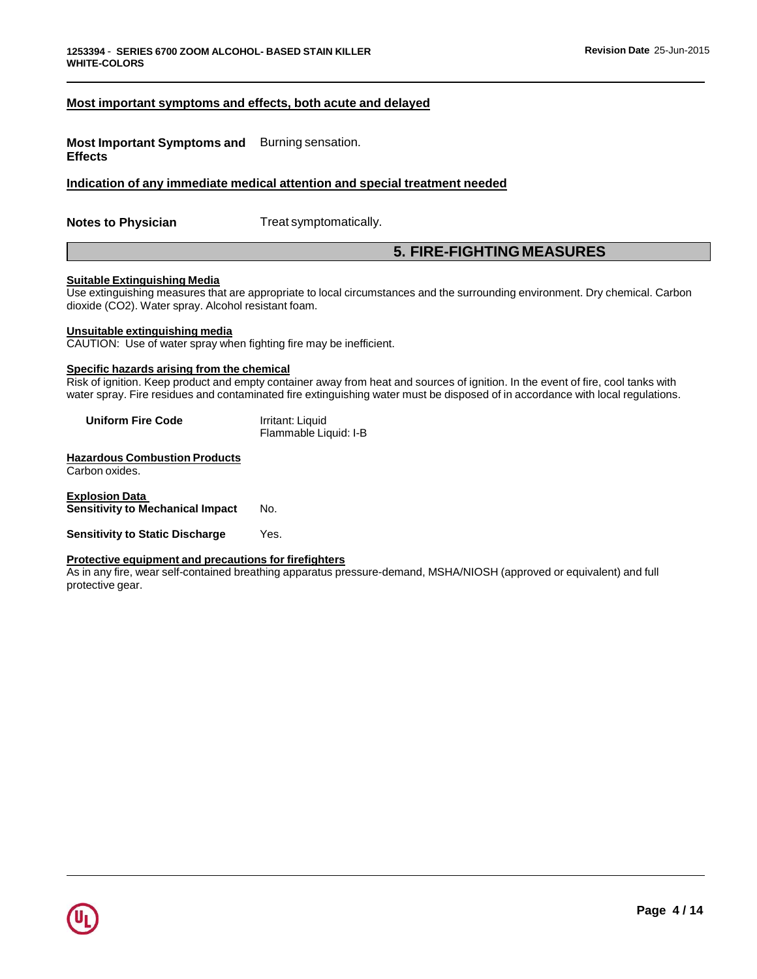### **Most important symptoms and effects, both acute and delayed**

**Most Important Symptoms and** Burning sensation. **Effects**

**Indication of any immediate medical attention and special treatment needed**

**Notes to Physician** Treat symptomatically.

## **5. FIRE-FIGHTING MEASURES**

#### **Suitable Extinguishing Media**

Use extinguishing measures that are appropriate to local circumstances and the surrounding environment. Dry chemical. Carbon dioxide (CO2). Water spray. Alcohol resistant foam.

#### **Unsuitable extinguishing media**

CAUTION: Use of water spray when fighting fire may be inefficient.

## **Specific hazards arising from the chemical**

Risk of ignition. Keep product and empty container away from heat and sources of ignition. In the event of fire, cool tanks with water spray. Fire residues and contaminated fire extinguishing water must be disposed of in accordance with local regulations.

| <b>Uniform Fire Code</b> | Irritant: Liquid      |
|--------------------------|-----------------------|
|                          | Flammable Liquid: I-B |

**Hazardous Combustion Products** Carbon oxides.

**Explosion Data Sensitivity to Mechanical Impact** No.

**Sensitivity to Static Discharge** Yes.

#### **Protective equipment and precautions for firefighters**

As in any fire, wear self-contained breathing apparatus pressure-demand, MSHA/NIOSH (approved or equivalent) and full protective gear.

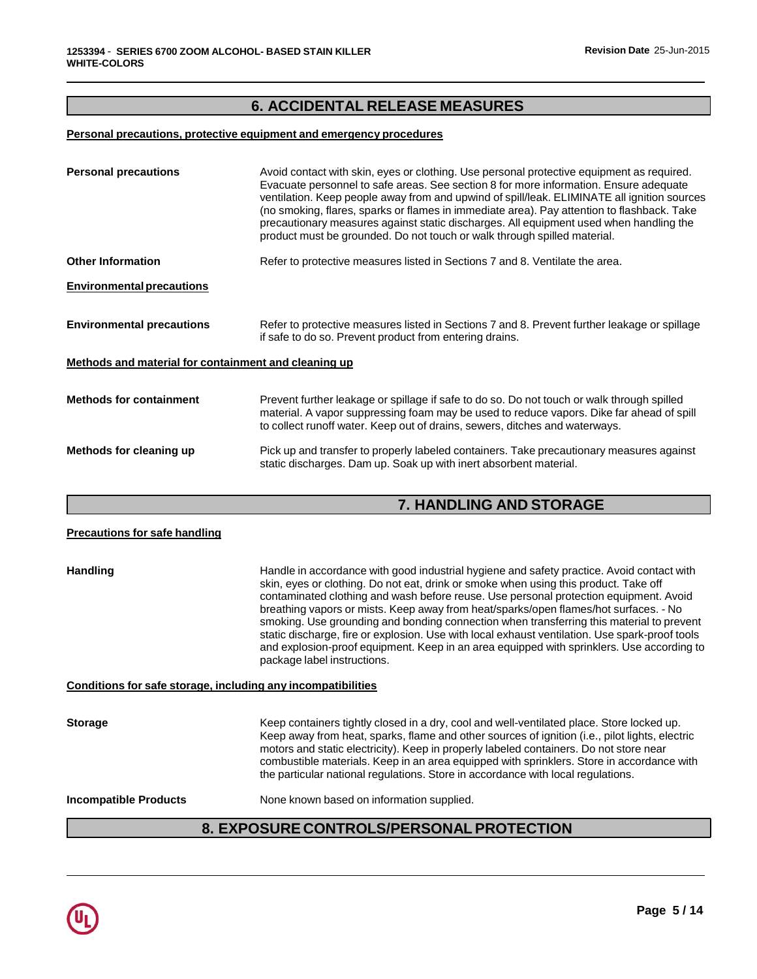# **6. ACCIDENTAL RELEASE MEASURES**

## **Personal precautions, protective equipment and emergency procedures**

| <b>Personal precautions</b>                          | Avoid contact with skin, eyes or clothing. Use personal protective equipment as required.<br>Evacuate personnel to safe areas. See section 8 for more information. Ensure adequate<br>ventilation. Keep people away from and upwind of spill/leak. ELIMINATE all ignition sources<br>(no smoking, flares, sparks or flames in immediate area). Pay attention to flashback. Take<br>precautionary measures against static discharges. All equipment used when handling the<br>product must be grounded. Do not touch or walk through spilled material. |
|------------------------------------------------------|-------------------------------------------------------------------------------------------------------------------------------------------------------------------------------------------------------------------------------------------------------------------------------------------------------------------------------------------------------------------------------------------------------------------------------------------------------------------------------------------------------------------------------------------------------|
| <b>Other Information</b>                             | Refer to protective measures listed in Sections 7 and 8. Ventilate the area.                                                                                                                                                                                                                                                                                                                                                                                                                                                                          |
| <b>Environmental precautions</b>                     |                                                                                                                                                                                                                                                                                                                                                                                                                                                                                                                                                       |
| <b>Environmental precautions</b>                     | Refer to protective measures listed in Sections 7 and 8. Prevent further leakage or spillage<br>if safe to do so. Prevent product from entering drains.                                                                                                                                                                                                                                                                                                                                                                                               |
| Methods and material for containment and cleaning up |                                                                                                                                                                                                                                                                                                                                                                                                                                                                                                                                                       |
| <b>Methods for containment</b>                       | Prevent further leakage or spillage if safe to do so. Do not touch or walk through spilled<br>material. A vapor suppressing foam may be used to reduce vapors. Dike far ahead of spill<br>to collect runoff water. Keep out of drains, sewers, ditches and waterways.                                                                                                                                                                                                                                                                                 |
| Methods for cleaning up                              | Pick up and transfer to properly labeled containers. Take precautionary measures against<br>static discharges. Dam up. Soak up with inert absorbent material.                                                                                                                                                                                                                                                                                                                                                                                         |

# **7. HANDLING AND STORAGE**

| <b>Precautions for safe handling</b> |                                                                                                                                                                                                                                                                                                                                                                                                                                                                                                                                                                                                                                                                                              |
|--------------------------------------|----------------------------------------------------------------------------------------------------------------------------------------------------------------------------------------------------------------------------------------------------------------------------------------------------------------------------------------------------------------------------------------------------------------------------------------------------------------------------------------------------------------------------------------------------------------------------------------------------------------------------------------------------------------------------------------------|
| <b>Handling</b>                      | Handle in accordance with good industrial hygiene and safety practice. Avoid contact with<br>skin, eyes or clothing. Do not eat, drink or smoke when using this product. Take off<br>contaminated clothing and wash before reuse. Use personal protection equipment. Avoid<br>breathing vapors or mists. Keep away from heat/sparks/open flames/hot surfaces. - No<br>smoking. Use grounding and bonding connection when transferring this material to prevent<br>static discharge, fire or explosion. Use with local exhaust ventilation. Use spark-proof tools<br>and explosion-proof equipment. Keep in an area equipped with sprinklers. Use according to<br>package label instructions. |
|                                      | Conditions for safe storage, including any incompatibilities                                                                                                                                                                                                                                                                                                                                                                                                                                                                                                                                                                                                                                 |
| <b>Storage</b>                       | Keep containers tightly closed in a dry, cool and well-ventilated place. Store locked up.<br>Keep away from heat, sparks, flame and other sources of ignition (i.e., pilot lights, electric<br>motors and static electricity). Keep in properly labeled containers. Do not store near<br>combustible materials. Keep in an area equipped with sprinklers. Store in accordance with<br>the particular national regulations. Store in accordance with local regulations.                                                                                                                                                                                                                       |
| <b>Incompatible Products</b>         | None known based on information supplied.                                                                                                                                                                                                                                                                                                                                                                                                                                                                                                                                                                                                                                                    |
|                                      | 8. EXPOSURE CONTROLS/PERSONAL PROTECTION                                                                                                                                                                                                                                                                                                                                                                                                                                                                                                                                                                                                                                                     |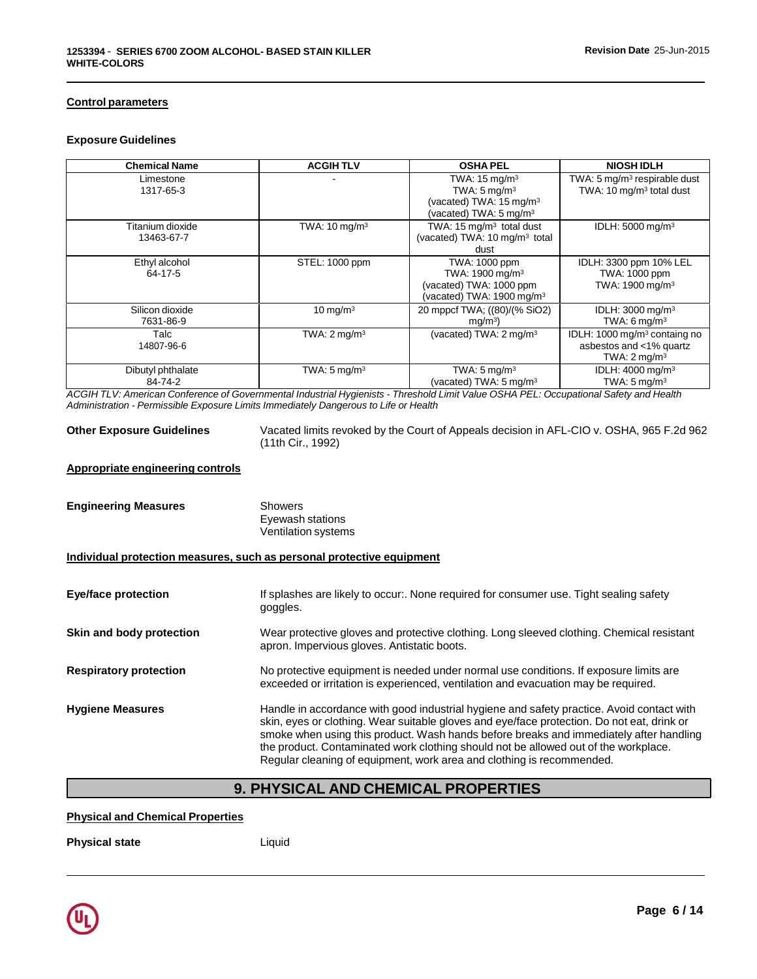## **Control parameters**

#### **Exposure Guidelines**

| <b>Chemical Name</b>           | <b>ACGIHTLV</b>          | <b>OSHA PEL</b>                                                                                                                 | <b>NIOSH IDLH</b>                                                                             |
|--------------------------------|--------------------------|---------------------------------------------------------------------------------------------------------------------------------|-----------------------------------------------------------------------------------------------|
| Limestone<br>1317-65-3         |                          | TWA: $15 \text{ mg/m}^3$<br>TWA: $5 \text{ mg/m}^3$<br>(vacated) TWA: 15 mg/m <sup>3</sup><br>(vacated) TWA: $5 \text{ mg/m}^3$ | TWA: 5 mg/m <sup>3</sup> respirable dust<br>TWA: 10 mg/m <sup>3</sup> total dust              |
| Titanium dioxide<br>13463-67-7 | TWA: $10 \text{ mg/m}^3$ | TWA: 15 mg/m <sup>3</sup> total dust<br>(vacated) TWA: 10 mg/m <sup>3</sup> total<br>dust                                       | IDLH: 5000 mg/m <sup>3</sup>                                                                  |
| Ethyl alcohol<br>64-17-5       | STEL: 1000 ppm           | TWA: 1000 ppm<br>TWA: 1900 mg/m <sup>3</sup><br>(vacated) TWA: 1000 ppm<br>(vacated) TWA: 1900 mg/m <sup>3</sup>                | IDLH: 3300 ppm 10% LEL<br>TWA: 1000 ppm<br>TWA: 1900 mg/m <sup>3</sup>                        |
| Silicon dioxide<br>7631-86-9   | $10 \text{ mg/m}^3$      | 20 mppcf TWA; ((80)/(% SiO2)<br>mg/m <sup>3</sup>                                                                               | IDLH: 3000 mg/m <sup>3</sup><br>TWA: $6 \text{ mg/m}^3$                                       |
| Talc<br>14807-96-6             | TWA: $2 \text{mq/m}^3$   | (vacated) TWA: 2 mg/m <sup>3</sup>                                                                                              | IDLH: 1000 mg/m <sup>3</sup> containg no<br>asbestos and <1% quartz<br>TWA: $2 \text{mq/m}^3$ |
| Dibutyl phthalate<br>84-74-2   | TWA: $5 \text{ mg/m}^3$  | TWA: $5 \text{ mg/m}^3$<br>(vacated) TWA: 5 mg/m <sup>3</sup>                                                                   | IDLH: $4000 \text{ mg/m}^3$<br>TWA: $5 \text{ mg/m}^3$                                        |

ACGIH TLV: American Conference of Governmental Industrial Hygienists - Threshold Limit Value OSHA PEL: Occupational Safety and Health *Administration - Permissible Exposure Limits Immediately Dangerous to Life or Health*

**Other Exposure Guidelines** Vacated limits revoked by the Court of Appeals decision in AFL-CIO v. OSHA, 965 F.2d 962 (11th Cir., 1992)

## **Appropriate engineering controls**

| <b>Engineering Measures</b>   | <b>Showers</b><br>Eyewash stations<br><b>Ventilation systems</b>                                                                                                                                                                                                                                                                                                                                                                                  |
|-------------------------------|---------------------------------------------------------------------------------------------------------------------------------------------------------------------------------------------------------------------------------------------------------------------------------------------------------------------------------------------------------------------------------------------------------------------------------------------------|
|                               | Individual protection measures, such as personal protective equipment                                                                                                                                                                                                                                                                                                                                                                             |
| <b>Eye/face protection</b>    | If splashes are likely to occur:. None required for consumer use. Tight sealing safety<br>goggles.                                                                                                                                                                                                                                                                                                                                                |
| Skin and body protection      | Wear protective gloves and protective clothing. Long sleeved clothing. Chemical resistant<br>apron. Impervious gloves. Antistatic boots.                                                                                                                                                                                                                                                                                                          |
| <b>Respiratory protection</b> | No protective equipment is needed under normal use conditions. If exposure limits are<br>exceeded or irritation is experienced, ventilation and evacuation may be required.                                                                                                                                                                                                                                                                       |
| <b>Hygiene Measures</b>       | Handle in accordance with good industrial hygiene and safety practice. Avoid contact with<br>skin, eyes or clothing. Wear suitable gloves and eye/face protection. Do not eat, drink or<br>smoke when using this product. Wash hands before breaks and immediately after handling<br>the product. Contaminated work clothing should not be allowed out of the workplace.<br>Regular cleaning of equipment, work area and clothing is recommended. |

# **9. PHYSICAL AND CHEMICAL PROPERTIES**

## **Physical and Chemical Properties**

**Physical state** Liquid

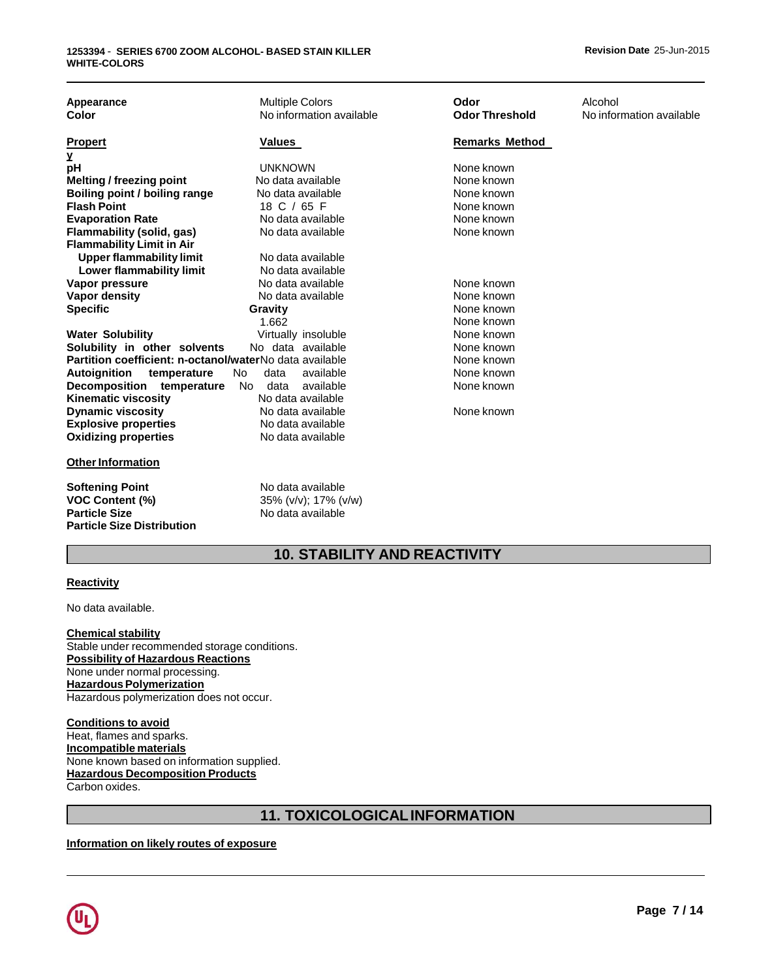| Appearance<br>Color                                                                     | <b>Multiple Colors</b><br>No information available             | Odor<br><b>Odor Threshold</b> | Alcohol<br>No information available |
|-----------------------------------------------------------------------------------------|----------------------------------------------------------------|-------------------------------|-------------------------------------|
|                                                                                         |                                                                |                               |                                     |
| <b>Propert</b>                                                                          | Values                                                         | <b>Remarks Method</b>         |                                     |
| у<br>рH                                                                                 | <b>UNKNOWN</b>                                                 | None known                    |                                     |
| <b>Melting / freezing point</b>                                                         | No data available                                              | None known                    |                                     |
| Boiling point / boiling range                                                           | No data available                                              | None known                    |                                     |
| <b>Flash Point</b>                                                                      | 18 C / 65 F                                                    | None known                    |                                     |
| <b>Evaporation Rate</b>                                                                 | No data available                                              | None known                    |                                     |
| Flammability (solid, gas)                                                               | No data available                                              | None known                    |                                     |
| <b>Flammability Limit in Air</b>                                                        |                                                                |                               |                                     |
| <b>Upper flammability limit</b>                                                         | No data available                                              |                               |                                     |
| <b>Lower flammability limit</b>                                                         | No data available                                              |                               |                                     |
| Vapor pressure                                                                          | No data available                                              | None known                    |                                     |
| Vapor density                                                                           | No data available                                              | None known                    |                                     |
| <b>Specific</b>                                                                         | Gravity                                                        | None known                    |                                     |
|                                                                                         | 1.662                                                          | None known                    |                                     |
| <b>Water Solubility</b>                                                                 | Virtually insoluble                                            | None known                    |                                     |
| Solubility in other solvents<br>Partition coefficient: n-octanol/waterNo data available | No data available                                              | None known                    |                                     |
|                                                                                         | available<br>No.<br>data                                       | None known<br>None known      |                                     |
| Autoignition<br>temperature<br>Decomposition temperature                                | available<br>No.<br>data                                       | None known                    |                                     |
| <b>Kinematic viscosity</b>                                                              | No data available                                              |                               |                                     |
| <b>Dynamic viscosity</b>                                                                | No data available                                              | None known                    |                                     |
| <b>Explosive properties</b>                                                             | No data available                                              |                               |                                     |
| <b>Oxidizing properties</b>                                                             | No data available                                              |                               |                                     |
|                                                                                         |                                                                |                               |                                     |
| <b>Other Information</b>                                                                |                                                                |                               |                                     |
| <b>Softening Point</b><br><b>VOC Content (%)</b><br><b>Particle Size</b>                | No data available<br>35% (v/v); 17% (v/w)<br>No data available |                               |                                     |
| <b>Particle Size Distribution</b>                                                       |                                                                |                               |                                     |

# **10. STABILITY AND REACTIVITY**

#### **Reactivity**

No data available.

**Chemical stability** Stable under recommended storage conditions. **Possibility of Hazardous Reactions** None under normal processing. **Hazardous Polymerization** Hazardous polymerization does not occur.

**Conditions to avoid** Heat, flames and sparks. **Incompatible materials** None known based on information supplied. **Hazardous Decomposition Products** Carbon oxides.

# **11. TOXICOLOGICALINFORMATION**

## **Information on likely routes of exposure**

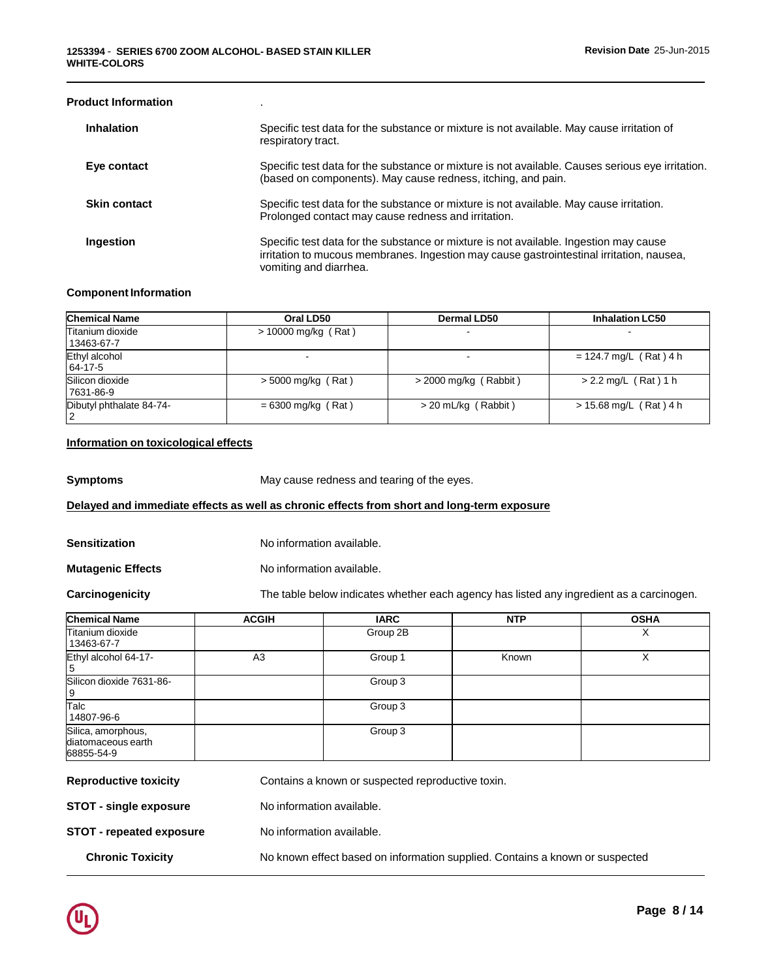| <b>Product Information</b>           |                                                                                            |                                                                                                                                                                                   |                          |  |
|--------------------------------------|--------------------------------------------------------------------------------------------|-----------------------------------------------------------------------------------------------------------------------------------------------------------------------------------|--------------------------|--|
| <b>Inhalation</b>                    | respiratory tract.                                                                         | Specific test data for the substance or mixture is not available. May cause irritation of                                                                                         |                          |  |
| Eye contact                          |                                                                                            | Specific test data for the substance or mixture is not available. Causes serious eye irritation.<br>(based on components). May cause redness, itching, and pain.                  |                          |  |
| <b>Skin contact</b>                  |                                                                                            | Specific test data for the substance or mixture is not available. May cause irritation.<br>Prolonged contact may cause redness and irritation.                                    |                          |  |
| Ingestion                            | vomiting and diarrhea.                                                                     | Specific test data for the substance or mixture is not available. Ingestion may cause<br>irritation to mucous membranes. Ingestion may cause gastrointestinal irritation, nausea, |                          |  |
| <b>Component Information</b>         |                                                                                            |                                                                                                                                                                                   |                          |  |
| <b>Chemical Name</b>                 | Oral LD50                                                                                  | <b>Dermal LD50</b>                                                                                                                                                                | <b>Inhalation LC50</b>   |  |
| Titanium dioxide<br>13463-67-7       | > 10000 mg/kg (Rat)                                                                        |                                                                                                                                                                                   |                          |  |
| Ethyl alcohol<br>64-17-5             |                                                                                            |                                                                                                                                                                                   | $= 124.7$ mg/L (Rat) 4 h |  |
| Silicon dioxide<br>7631-86-9         | $>$ 5000 mg/kg (Rat)                                                                       | $>$ 2000 mg/kg (Rabbit)                                                                                                                                                           | $> 2.2$ mg/L (Rat) 1 h   |  |
| Dibutyl phthalate 84-74-<br>2        | $= 6300$ mg/kg (Rat)                                                                       | > 20 mL/kg (Rabbit)                                                                                                                                                               | $> 15.68$ mg/L (Rat) 4 h |  |
| Information on toxicological effects |                                                                                            |                                                                                                                                                                                   |                          |  |
| <b>Symptoms</b>                      | May cause redness and tearing of the eyes.                                                 |                                                                                                                                                                                   |                          |  |
|                                      | Delayed and immediate effects as well as chronic effects from short and long-term exposure |                                                                                                                                                                                   |                          |  |
| <b>Sensitization</b>                 | No information available.                                                                  |                                                                                                                                                                                   |                          |  |
| <b>Mutagenic Effects</b>             | No information available.                                                                  |                                                                                                                                                                                   |                          |  |

**Carcinogenicity** The table below indicates whether each agency has listed any ingredient as a carcinogen.

| <b>ACGIH</b> | <b>IARC</b> | <b>NTP</b> | <b>OSHA</b> |
|--------------|-------------|------------|-------------|
|              | Group 2B    |            | ⋏           |
| A3           | Group 1     | Known      |             |
|              | Group 3     |            |             |
|              | Group 3     |            |             |
|              | Group 3     |            |             |
|              |             |            |             |

| <b>NEPROMISSIVE COVIDITA</b>    | Contrams a Milowii of Suspected reproductive toxiii.                         |
|---------------------------------|------------------------------------------------------------------------------|
| <b>STOT - single exposure</b>   | No information available.                                                    |
| <b>STOT - repeated exposure</b> | No information available.                                                    |
| <b>Chronic Toxicity</b>         | No known effect based on information supplied. Contains a known or suspected |
|                                 |                                                                              |

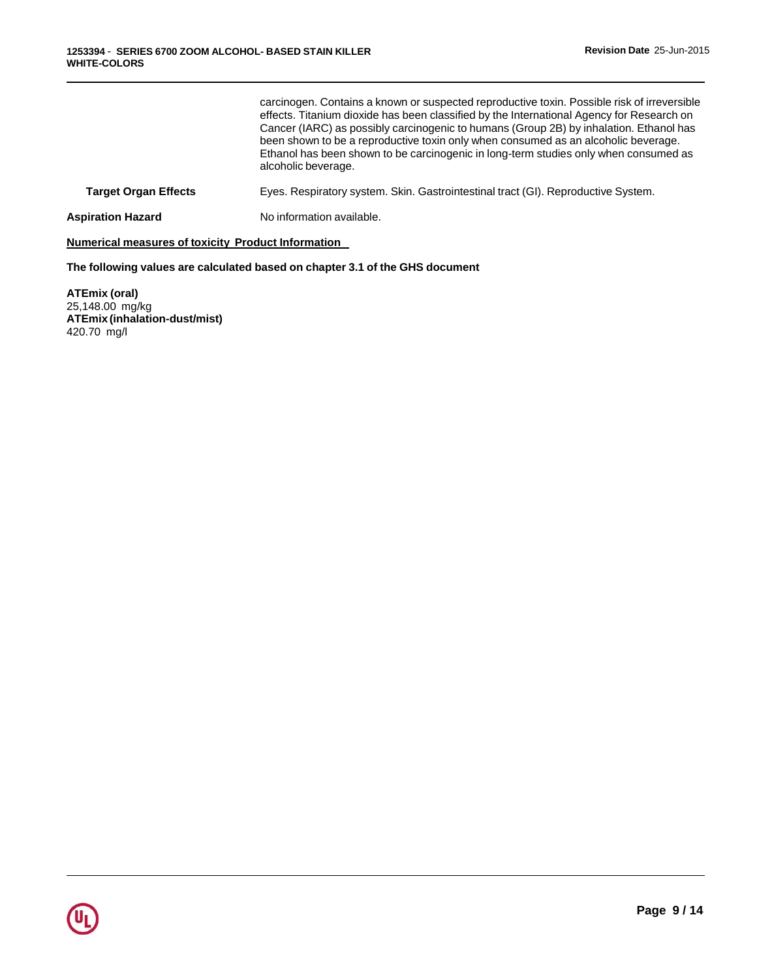|                             | carcinogen. Contains a known or suspected reproductive toxin. Possible risk of irreversible<br>effects. Titanium dioxide has been classified by the International Agency for Research on<br>Cancer (IARC) as possibly carcinogenic to humans (Group 2B) by inhalation. Ethanol has<br>been shown to be a reproductive toxin only when consumed as an alcoholic beverage.<br>Ethanol has been shown to be carcinogenic in long-term studies only when consumed as<br>alcoholic beverage. |
|-----------------------------|-----------------------------------------------------------------------------------------------------------------------------------------------------------------------------------------------------------------------------------------------------------------------------------------------------------------------------------------------------------------------------------------------------------------------------------------------------------------------------------------|
| <b>Target Organ Effects</b> | Eyes. Respiratory system. Skin. Gastrointestinal tract (GI). Reproductive System.                                                                                                                                                                                                                                                                                                                                                                                                       |
| Aspiration Hazard           | No information available.                                                                                                                                                                                                                                                                                                                                                                                                                                                               |
|                             |                                                                                                                                                                                                                                                                                                                                                                                                                                                                                         |

**Numerical measures of toxicity Product Information**

**The following values are calculated based on chapter 3.1 of the GHS document**

**ATEmix (oral)** 25,148.00 mg/kg **ATEmix (inhalation-dust/mist)** 420.70 mg/l

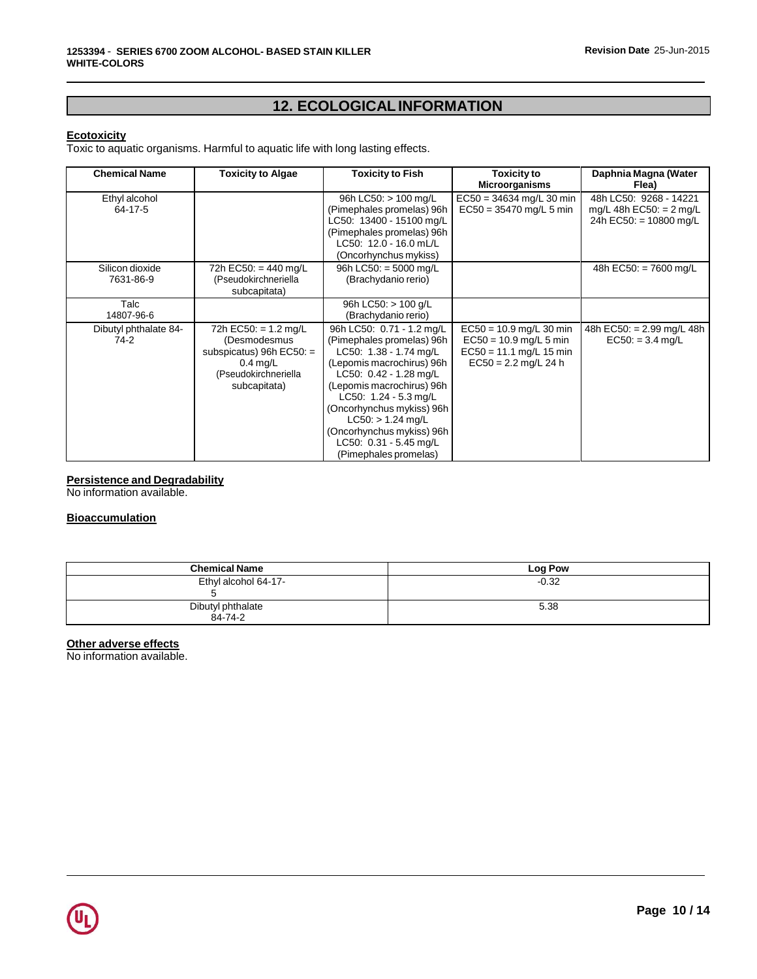# **12. ECOLOGICALINFORMATION**

## **Ecotoxicity**

Toxic to aquatic organisms. Harmful to aquatic life with long lasting effects.

| <b>Chemical Name</b>            | <b>Toxicity to Algae</b>                                                                                                   | <b>Toxicity to Fish</b>                                                                                                                                                                                                                                                                                                                 | <b>Toxicity to</b><br><b>Microorganisms</b>                                                                  | Daphnia Magna (Water<br>Flea)                                                           |
|---------------------------------|----------------------------------------------------------------------------------------------------------------------------|-----------------------------------------------------------------------------------------------------------------------------------------------------------------------------------------------------------------------------------------------------------------------------------------------------------------------------------------|--------------------------------------------------------------------------------------------------------------|-----------------------------------------------------------------------------------------|
| Ethyl alcohol<br>64-17-5        |                                                                                                                            | 96h LC50: > 100 mg/L<br>(Pimephales promelas) 96h<br>LC50: 13400 - 15100 mg/L<br>(Pimephales promelas) 96h<br>LC50: 12.0 - 16.0 mL/L<br>(Oncorhynchus mykiss)                                                                                                                                                                           | $EC50 = 34634$ mg/L 30 min<br>$EC50 = 35470$ mg/L 5 min                                                      | 48h LC50: 9268 - 14221<br>$mg/L$ 48h EC50: = 2 mg/L<br>24h EC50: = $10800 \text{ mg/L}$ |
| Silicon dioxide<br>7631-86-9    | 72h EC50: = 440 mg/L<br>(Pseudokirchneriella<br>subcapitata)                                                               | 96h LC50: $=$ 5000 mg/L<br>(Brachydanio rerio)                                                                                                                                                                                                                                                                                          |                                                                                                              | 48h EC50: $= 7600$ mg/L                                                                 |
| Talc<br>14807-96-6              |                                                                                                                            | 96h LC50: > 100 g/L<br>(Brachydanio rerio)                                                                                                                                                                                                                                                                                              |                                                                                                              |                                                                                         |
| Dibutyl phthalate 84-<br>$74-2$ | 72h EC50: $= 1.2$ mg/L<br>(Desmodesmus<br>subspicatus) 96h $EC50:$ =<br>$0.4$ mg/L<br>(Pseudokirchneriella<br>subcapitata) | 96h LC50: 0.71 - 1.2 mg/L<br>(Pimephales promelas) 96h<br>LC50: $1.38 - 1.74$ mg/L<br>(Lepomis macrochirus) 96h<br>LC50: $0.42 - 1.28$ mg/L<br>(Lepomis macrochirus) 96h<br>LC50: $1.24 - 5.3$ mg/L<br>(Oncorhynchus mykiss) 96h<br>$LC50: > 1.24$ mg/L<br>(Oncorhynchus mykiss) 96h<br>LC50: 0.31 - 5.45 mg/L<br>(Pimephales promelas) | $EC50 = 10.9$ mg/L 30 min<br>$EC50 = 10.9$ mg/L 5 min<br>$EC50 = 11.1$ mg/L 15 min<br>$EC50 = 2.2$ mg/L 24 h | 48h EC50: = 2.99 mg/L 48h<br>$EC50: = 3.4$ mg/L                                         |

## **Persistence and Degradability**

No information available.

## **Bioaccumulation**

| <b>Chemical Name</b>         | <b>Log Pow</b> |
|------------------------------|----------------|
| Ethyl alcohol 64-17-         | $-0.32$        |
| Dibutyl phthalate<br>84-74-2 | 5.38           |

## **Other adverse effects**

No information available.

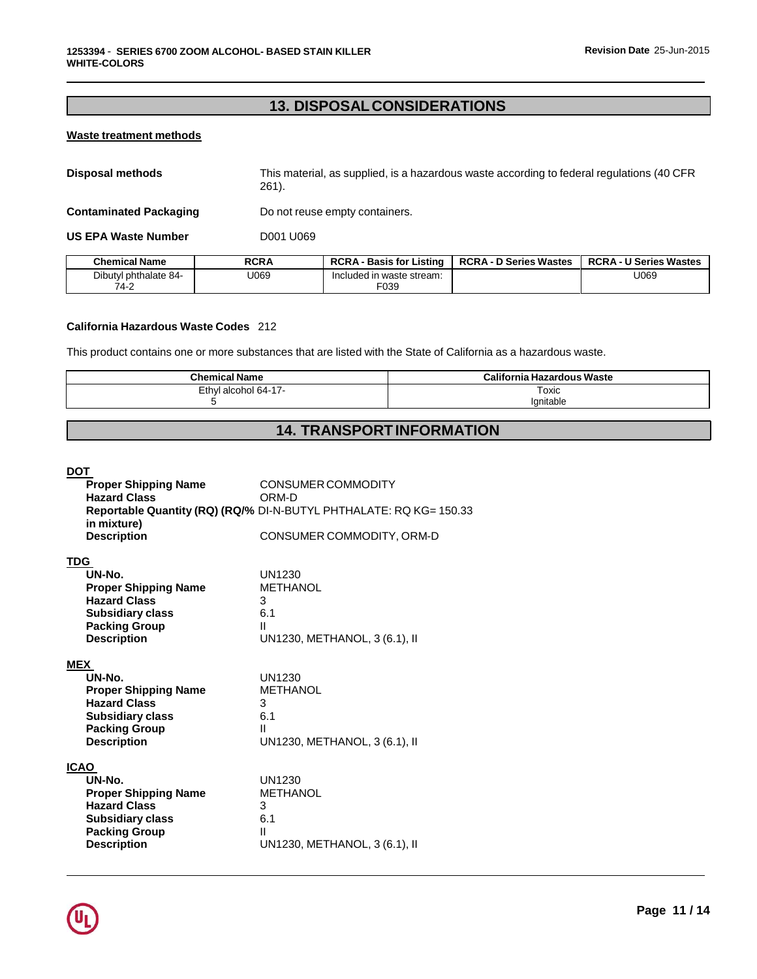# **13. DISPOSALCONSIDERATIONS**

## **Waste treatment methods**

| Disposal methods | This material, as supplied, is a hazardous waste according to federal regulations (40 CFR |
|------------------|-------------------------------------------------------------------------------------------|
|                  | 261).                                                                                     |

**Contaminated Packaging Do not reuse empty containers.** 

**US EPA Waste Number** D001 U069

| Chemical Name         | <b>RCRA</b> | <b>RCRA - Basis for Listing</b> | <b>RCRA - D Series Wastes</b> | <b>RCRA - U Series Wastes</b> |
|-----------------------|-------------|---------------------------------|-------------------------------|-------------------------------|
| Dibutyl phthalate 84- | J069        | Included in waste stream:       |                               | U069                          |
| 74-2                  |             | E039                            |                               |                               |

## **California Hazardous Waste Codes** 212

This product contains one or more substances that are listed with the State of California as a hazardous waste.

| <b>Chemical Name</b> | <b>California Hazardous Waste</b> |
|----------------------|-----------------------------------|
| Ethyl alcohol 64-17- | Toxic                             |
|                      | lgnitable                         |

# **14. TRANSPORTINFORMATION**

## **DOT**

|             | <b>Proper Shipping Name</b><br><b>Hazard Class</b><br>in mixture)<br><b>Description</b> | <b>CONSUMER COMMODITY</b><br>ORM-D<br>Reportable Quantity (RQ) (RQ/% DI-N-BUTYL PHTHALATE: RQ KG= 150.33<br>CONSUMER COMMODITY, ORM-D |
|-------------|-----------------------------------------------------------------------------------------|---------------------------------------------------------------------------------------------------------------------------------------|
| <b>TDG</b>  |                                                                                         |                                                                                                                                       |
|             | UN-No.                                                                                  | UN1230                                                                                                                                |
|             | <b>Proper Shipping Name</b>                                                             | <b>METHANOL</b>                                                                                                                       |
|             | <b>Hazard Class</b>                                                                     | 3                                                                                                                                     |
|             | <b>Subsidiary class</b>                                                                 | 6.1                                                                                                                                   |
|             | <b>Packing Group</b>                                                                    | Ш                                                                                                                                     |
|             | <b>Description</b>                                                                      | UN1230, METHANOL, 3 (6.1), II                                                                                                         |
| <b>MEX</b>  |                                                                                         |                                                                                                                                       |
|             | UN-No.                                                                                  | UN1230                                                                                                                                |
|             | <b>Proper Shipping Name</b>                                                             | <b>METHANOL</b>                                                                                                                       |
|             | <b>Hazard Class</b>                                                                     | 3                                                                                                                                     |
|             | <b>Subsidiary class</b>                                                                 | 6.1                                                                                                                                   |
|             | <b>Packing Group</b>                                                                    | Ш                                                                                                                                     |
|             | <b>Description</b>                                                                      | UN1230, METHANOL, 3 (6.1), II                                                                                                         |
| <b>ICAO</b> |                                                                                         |                                                                                                                                       |
|             | UN-No.                                                                                  | UN1230                                                                                                                                |
|             | <b>Proper Shipping Name</b>                                                             | <b>METHANOL</b>                                                                                                                       |
|             | <b>Hazard Class</b>                                                                     | 3                                                                                                                                     |
|             | <b>Subsidiary class</b>                                                                 | 6.1                                                                                                                                   |
|             | <b>Packing Group</b>                                                                    | Ш                                                                                                                                     |
|             | <b>Description</b>                                                                      | UN1230, METHANOL, 3 (6.1), II                                                                                                         |
|             |                                                                                         |                                                                                                                                       |

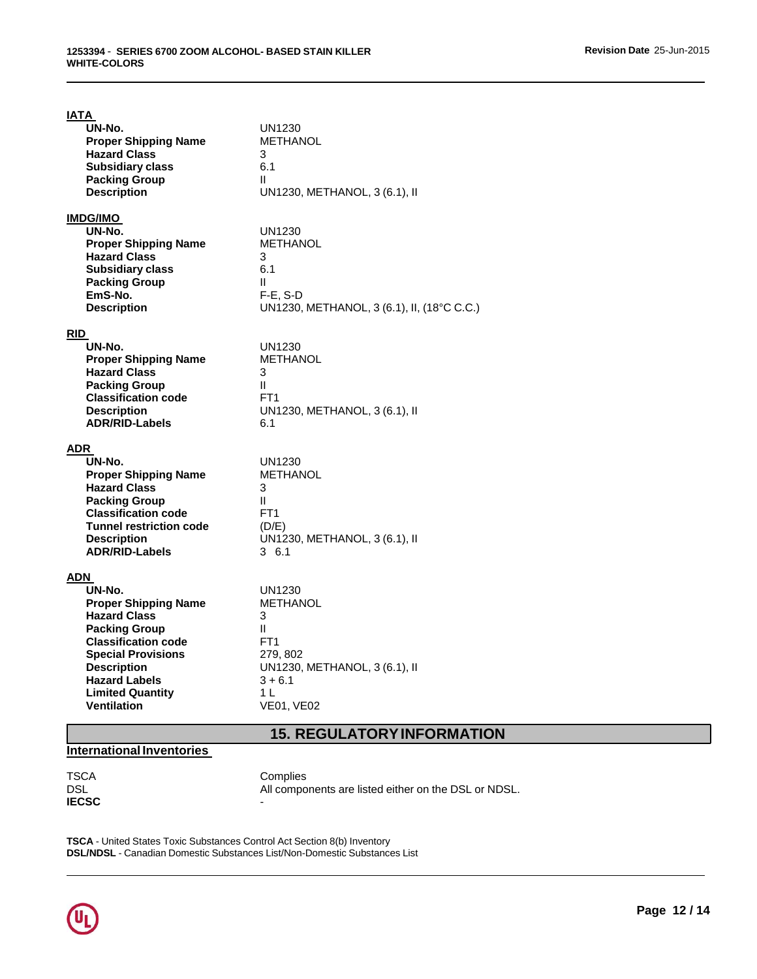| <b>IATA</b>                                        |                                                           |
|----------------------------------------------------|-----------------------------------------------------------|
| UN-No.<br><b>Proper Shipping Name</b>              | UN1230<br><b>METHANOL</b>                                 |
| <b>Hazard Class</b>                                | 3                                                         |
| <b>Subsidiary class</b>                            | 6.1<br>Ш                                                  |
| <b>Packing Group</b><br><b>Description</b>         | UN1230, METHANOL, 3 (6.1), II                             |
|                                                    |                                                           |
| <u>IMDG/IMO</u><br>UN-No.                          | UN1230                                                    |
| <b>Proper Shipping Name</b>                        | <b>METHANOL</b>                                           |
| <b>Hazard Class</b><br><b>Subsidiary class</b>     | 3<br>6.1                                                  |
| <b>Packing Group</b>                               | $\mathbf{H}$                                              |
| EmS-No.<br><b>Description</b>                      | $F-E$ , S-D<br>UN1230, METHANOL, 3 (6.1), II, (18°C C.C.) |
|                                                    |                                                           |
| <b>RID</b><br>UN-No.                               | UN1230                                                    |
| <b>Proper Shipping Name</b>                        | <b>METHANOL</b>                                           |
| <b>Hazard Class</b><br><b>Packing Group</b>        | 3<br>$\mathbf{H}$                                         |
| <b>Classification code</b>                         | FT <sub>1</sub>                                           |
| <b>Description</b><br><b>ADR/RID-Labels</b>        | UN1230, METHANOL, 3 (6.1), II<br>6.1                      |
|                                                    |                                                           |
| ADR<br>UN-No.                                      | <b>UN1230</b>                                             |
| <b>Proper Shipping Name</b>                        | <b>METHANOL</b>                                           |
| <b>Hazard Class</b>                                | 3<br>Ш                                                    |
| <b>Packing Group</b><br><b>Classification code</b> | FT <sub>1</sub>                                           |
| <b>Tunnel restriction code</b>                     | (D/E)                                                     |
| <b>Description</b><br><b>ADR/RID-Labels</b>        | UN1230, METHANOL, 3 (6.1), II<br>36.1                     |
|                                                    |                                                           |
| ADN<br>UN-No.                                      | UN1230                                                    |
| <b>Proper Shipping Name</b>                        | <b>METHANOL</b>                                           |
| <b>Hazard Class</b><br><b>Packing Group</b>        | 3<br>$\mathbf{H}$                                         |
| <b>Classification code</b>                         | FT <sub>1</sub>                                           |
| <b>Special Provisions</b><br><b>Description</b>    | 279, 802<br>UN1230, METHANOL, 3 (6.1), II                 |
| <b>Hazard Labels</b>                               | $3 + 6.1$                                                 |
| <b>Limited Quantity</b><br><b>Ventilation</b>      | 1 L<br><b>VE01, VE02</b>                                  |
|                                                    |                                                           |
|                                                    | <b>15. REGULATORY INFORMATION</b>                         |

# **International Inventories**

TSCA Complies<br>DSL All compo **IECSC** 

All components are listed either on the DSL or NDSL.

**TSCA** - United States Toxic Substances Control Act Section 8(b) Inventory **DSL/NDSL** - Canadian Domestic Substances List/Non-Domestic Substances List

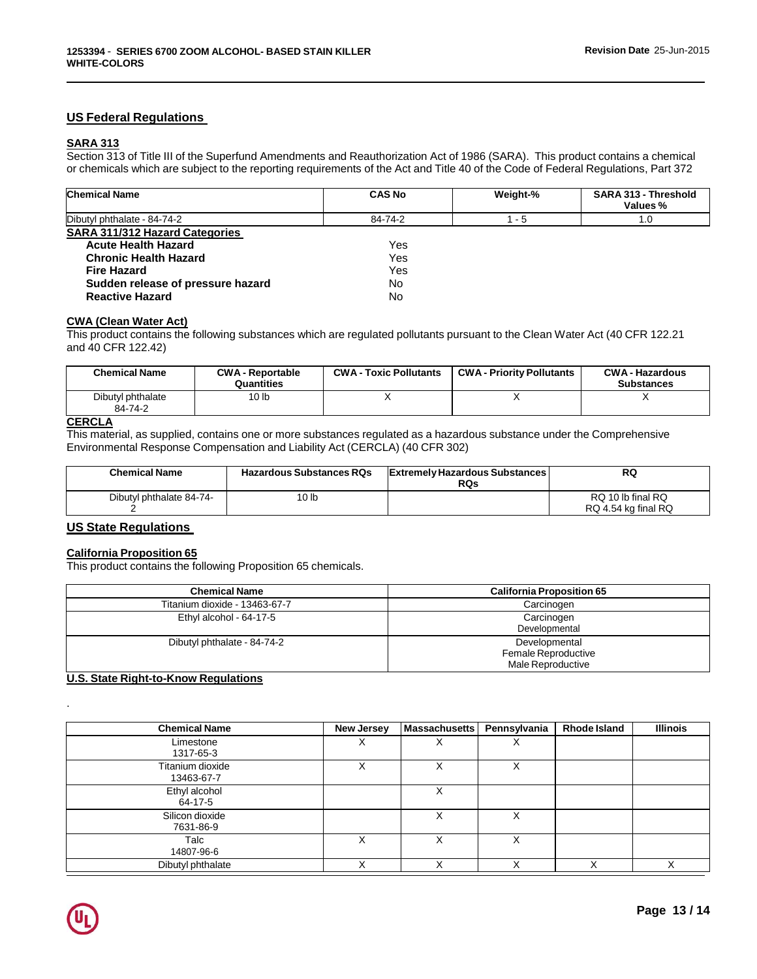## **US Federal Regulations**

## **SARA 313**

Section 313 of Title III of the Superfund Amendments and Reauthorization Act of 1986 (SARA). This product contains a chemical or chemicals which are subject to the reporting requirements of the Act and Title 40 of the Code of Federal Regulations, Part 372

| <b>Chemical Name</b>              | <b>CAS No</b> | Weight-% | SARA 313 - Threshold<br>Values % |
|-----------------------------------|---------------|----------|----------------------------------|
| Dibutyl phthalate - 84-74-2       | 84-74-2       | - 5      | 1.0                              |
| SARA 311/312 Hazard Categories    |               |          |                                  |
| <b>Acute Health Hazard</b>        | Yes           |          |                                  |
| <b>Chronic Health Hazard</b>      | Yes           |          |                                  |
| <b>Fire Hazard</b>                | Yes           |          |                                  |
| Sudden release of pressure hazard | No            |          |                                  |
| <b>Reactive Hazard</b>            | No            |          |                                  |

#### **CWA (Clean Water Act)**

This product contains the following substances which are regulated pollutants pursuant to the Clean Water Act (40 CFR 122.21 and 40 CFR 122.42)

| Chemical Name                | <b>CWA - Reportable</b><br>Quantities | <b>CWA - Toxic Pollutants</b> | <b>CWA - Priority Pollutants</b> | <b>CWA - Hazardous</b><br><b>Substances</b> |
|------------------------------|---------------------------------------|-------------------------------|----------------------------------|---------------------------------------------|
| Dibutyl phthalate<br>84-74-2 | 10 lb                                 |                               |                                  |                                             |

## **CERCLA**

This material, as supplied, contains one or more substances regulated as a hazardous substance under the Comprehensive Environmental Response Compensation and Liability Act (CERCLA) (40 CFR 302)

| <b>Chemical Name</b>     | <b>Hazardous Substances RQs</b> | <b>Extremely Hazardous Substances  </b><br><b>RQs</b> | RQ                                       |
|--------------------------|---------------------------------|-------------------------------------------------------|------------------------------------------|
| Dibutyl phthalate 84-74- | 10 <sub>lb</sub>                |                                                       | RQ 10 lb final RQ<br>RQ 4.54 kg final RQ |

## **US State Regulations**

## **California Proposition 65**

This product contains the following Proposition 65 chemicals.

| <b>Chemical Name</b>          | <b>California Proposition 65</b>                          |
|-------------------------------|-----------------------------------------------------------|
| Titanium dioxide - 13463-67-7 | Carcinogen                                                |
| Ethyl alcohol - 64-17-5       | Carcinogen<br>Developmental                               |
| Dibutyl phthalate - 84-74-2   | Developmental<br>Female Reproductive<br>Male Reproductive |

## **U.S. State Right-to-Know Regulations**

| <b>Chemical Name</b>           | <b>New Jersey</b> | <b>Massachusetts</b> | Pennsylvania | <b>Rhode Island</b> | <b>Illinois</b> |
|--------------------------------|-------------------|----------------------|--------------|---------------------|-----------------|
| Limestone<br>1317-65-3         | ⋏                 |                      | ∧            |                     |                 |
| Titanium dioxide<br>13463-67-7 |                   |                      | Χ            |                     |                 |
| Ethyl alcohol<br>64-17-5       |                   | х                    |              |                     |                 |
| Silicon dioxide<br>7631-86-9   |                   | x                    | X            |                     |                 |
| Talc<br>14807-96-6             | х                 | х                    | х            |                     |                 |
| Dibutyl phthalate              | X                 |                      | Χ            |                     |                 |



.